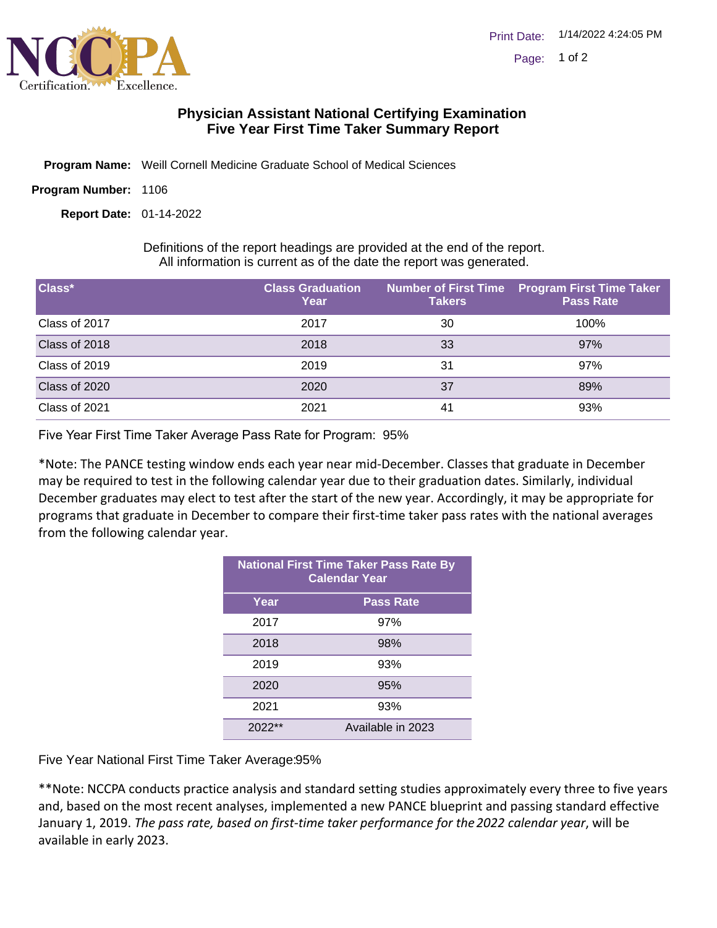

## **Physician Assistant National Certifying Examination Five Year First Time Taker Summary Report**

- Program Name: Weill Cornell Medicine Graduate School of Medical Sciences
- Program Number: 1106

01-14-2022 **Report Date:**

Definitions of the report headings are provided at the end of the report. All information is current as of the date the report was generated.

| Class*        | <b>Class Graduation</b><br>Year | <b>Takers</b> | Number of First Time Program First Time Taker<br><b>Pass Rate</b> |
|---------------|---------------------------------|---------------|-------------------------------------------------------------------|
| Class of 2017 | 2017                            | 30            | 100%                                                              |
| Class of 2018 | 2018                            | 33            | 97%                                                               |
| Class of 2019 | 2019                            | 31            | 97%                                                               |
| Class of 2020 | 2020                            | 37            | 89%                                                               |
| Class of 2021 | 2021                            | -41           | 93%                                                               |

Five Year First Time Taker Average Pass Rate for Program: 95%

\*Note: The PANCE testing window ends each year near mid-December. Classes that graduate in December may be required to test in the following calendar year due to their graduation dates. Similarly, individual December graduates may elect to test after the start of the new year. Accordingly, it may be appropriate for programs that graduate in December to compare their first-time taker pass rates with the national averages from the following calendar year.

| <b>National First Time Taker Pass Rate By</b><br><b>Calendar Year</b> |                   |  |
|-----------------------------------------------------------------------|-------------------|--|
| Year                                                                  | <b>Pass Rate</b>  |  |
| 2017                                                                  | 97%               |  |
| 2018                                                                  | 98%               |  |
| 2019                                                                  | 93%               |  |
| 2020                                                                  | 95%               |  |
| 2021                                                                  | 93%               |  |
| $2022**$                                                              | Available in 2023 |  |

Five Year National First Time Taker Average: 95%

\*\*Note: NCCPA conducts practice analysis and standard setting studies approximately every three to five years and, based on the most recent analyses, implemented a new PANCE blueprint and passing standard effective January 1, 2019. *The pass rate, based on first-time taker performance for the 2022 calendar year*, will be available in early 2023.